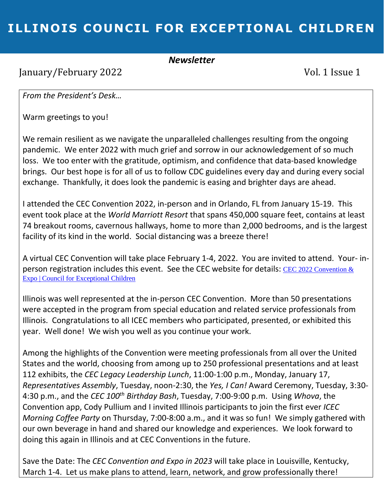# **ILLINOIS COUNCIL FOR EXCEPTIONAL CHILDREN**

#### *Newsletter*

January/February 2022 Vol. 1 Issue 1

*From the President's Desk…*

Warm greetings to you!

We remain resilient as we navigate the unparalleled challenges resulting from the ongoing pandemic. We enter 2022 with much grief and sorrow in our acknowledgement of so much loss. We too enter with the gratitude, optimism, and confidence that data-based knowledge brings. Our best hope is for all of us to follow CDC guidelines every day and during every social exchange. Thankfully, it does look the pandemic is easing and brighter days are ahead.

I attended the CEC Convention 2022, in-person and in Orlando, FL from January 15-19. This event took place at the *World Marriott Resort* that spans 450,000 square feet, contains at least 74 breakout rooms, cavernous hallways, home to more than 2,000 bedrooms, and is the largest facility of its kind in the world. Social distancing was a breeze there!

A virtual CEC Convention will take place February 1-4, 2022. You are invited to attend. Your- inperson registration includes this event. See the CEC website for details: CEC 2022 Convention  $\&$ [Expo | Council for Exceptional Children](https://exceptionalchildren.org/convention)

Illinois was well represented at the in-person CEC Convention. More than 50 presentations were accepted in the program from special education and related service professionals from Illinois. Congratulations to all ICEC members who participated, presented, or exhibited this year. Well done! We wish you well as you continue your work.

Among the highlights of the Convention were meeting professionals from all over the United States and the world, choosing from among up to 250 professional presentations and at least 112 exhibits, the *CEC Legacy Leadership Lunch*, 11:00-1:00 p.m., Monday, January 17, *Representatives Assembly*, Tuesday, noon-2:30, the *Yes, I Can!* Award Ceremony, Tuesday, 3:30- 4:30 p.m., and the *CEC 100th Birthday Bash*, Tuesday, 7:00-9:00 p.m. Using *Whova*, the Convention app, Cody Pullium and I invited Illinois participants to join the first ever *ICEC Morning Coffee Party* on Thursday, 7:00-8:00 a.m., and it was so fun! We simply gathered with our own beverage in hand and shared our knowledge and experiences. We look forward to doing this again in Illinois and at CEC Conventions in the future.

Save the Date: The *CEC Convention and Expo in 2023* will take place in Louisville, Kentucky, March 1-4. Let us make plans to attend, learn, network, and grow professionally there!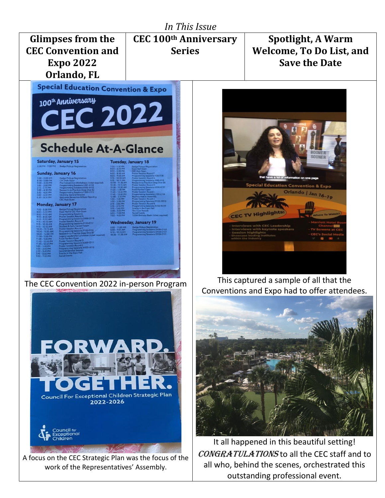

work of the Representatives' Assembly.

outstanding professional event.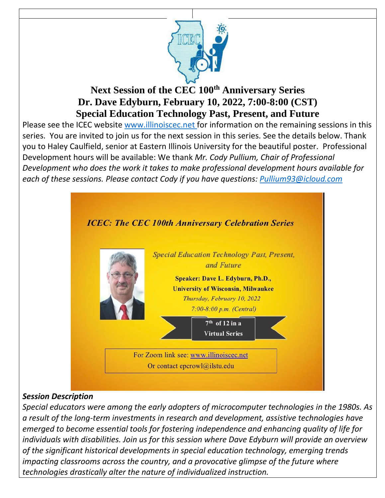

## **Next Session of the CEC 100th Anniversary Series Dr. Dave Edyburn, February 10, 2022, 7:00-8:00 (CST) Special Education Technology Past, Present, and Future**

Please see the ICEC website [www.illinoiscec.net](http://www.illinoiscec.net/) for information on the remaining sessions in this series. You are invited to join us for the next session in this series. See the details below. Thank you to Haley Caulfield, senior at Eastern Illinois University for the beautiful poster. Professional Development hours will be available: We thank *Mr. Cody Pullium, Chair of Professional Development who does the work it takes to make professional development hours available for each of these sessions. Please contact Cody if you have questions: [Pullium93@icloud.com](mailto:Pullium93@icloud.com)*



#### *Session Description*

*Special educators were among the early adopters of microcomputer technologies in the 1980s. As a result of the long-term investments in research and development, assistive technologies have emerged to become essential tools for fostering independence and enhancing quality of life for individuals with disabilities. Join us for this session where Dave Edyburn will provide an overview of the significant historical developments in special education technology, emerging trends impacting classrooms across the country, and a provocative glimpse of the future where technologies drastically alter the nature of individualized instruction.*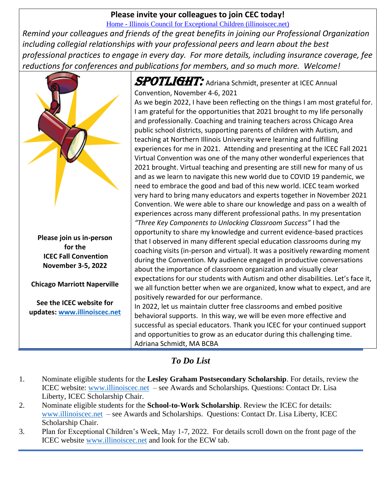#### **Please invite your colleagues to join CEC today!**

Home - [Illinois Council for Exceptional Children \(illinoiscec.net\)](https://www.illinoiscec.net/)

*Remind your colleagues and friends of the great benefits in joining our Professional Organization including collegial relationships with your professional peers and learn about the best professional practices to engage in every day. For more details, including insurance coverage, fee reductions for conferences and publications for members, and so much more. Welcome!*



**Please join us in-person for the ICEC Fall Convention November 3-5, 2022** 

**Chicago Marriott Naperville** 

**See the ICEC website for updates: [www.illinoiscec.net](http://www.illinoiscec.net/)**  $SPOTLIGHT:$  Adriana Schmidt, presenter at ICEC Annual Convention, November 4-6, 2021 As we begin 2022, I have been reflecting on the things I am most grateful for. I am grateful for the opportunities that 2021 brought to my life personally and professionally. Coaching and training teachers across Chicago Area public school districts, supporting parents of children with Autism, and teaching at Northern Illinois University were learning and fulfilling experiences for me in 2021. Attending and presenting at the ICEC Fall 2021 Virtual Convention was one of the many other wonderful experiences that 2021 brought. Virtual teaching and presenting are still new for many of us and as we learn to navigate this new world due to COVID 19 pandemic, we need to embrace the good and bad of this new world. ICEC team worked very hard to bring many educators and experts together in November 2021 Convention. We were able to share our knowledge and pass on a wealth of experiences across many different professional paths. In my presentation *"Three Key Components to Unlocking Classroom Success"* I had the opportunity to share my knowledge and current evidence-based practices that I observed in many different special education classrooms during my coaching visits (in-person and virtual). It was a positively rewarding moment during the Convention. My audience engaged in productive conversations about the importance of classroom organization and visually clear expectations for our students with Autism and other disabilities. Let's face it, we all function better when we are organized, know what to expect, and are positively rewarded for our performance. In 2022, let us maintain clutter free classrooms and embed positive

behavioral supports. In this way, we will be even more effective and successful as special educators. Thank you ICEC for your continued support and opportunities to grow as an educator during this challenging time. Adriana Schmidt, MA BCBA

#### *To Do List*

- 1. Nominate eligible students for the **Lesley Graham Postsecondary Scholarship**. For details, review the ICEC website: [www.illinoiscec.net](http://www.illinoiscec.net/) – see Awards and Scholarships. Questions: Contact Dr. Lisa Liberty, ICEC Scholarship Chair.
- 2. Nominate eligible students for the **School-to-Work Scholarship**. Review the ICEC for details: [www.illinoiscec.net](http://www.illinoiscec.net/) – see Awards and Scholarships. Questions: Contact Dr. Lisa Liberty, ICEC Scholarship Chair.
- 3. Plan for Exceptional Children's Week, May 1-7, 2022. For details scroll down on the front page of the ICEC website [www.illinoiscec.net](http://www.illinoiscec.net/) and look for the ECW tab.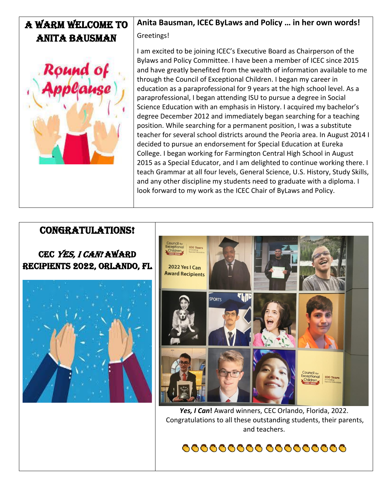#### **Anita Bausman, ICEC ByLaws and Policy … in her own words!** A warm welcome To Greetings! Anita Bausman I am excited to be joining ICEC's Executive Board as Chairperson of the Bylaws and Policy Committee. I have been a member of ICEC since 2015 Round of and have greatly benefited from the wealth of information available to me through the Council of Exceptional Children. I began my career in

education as a paraprofessional for 9 years at the high school level. As a paraprofessional, I began attending ISU to pursue a degree in Social Science Education with an emphasis in History. I acquired my bachelor's degree December 2012 and immediately began searching for a teaching position. While searching for a permanent position, I was a substitute teacher for several school districts around the Peoria area. In August 2014 I decided to pursue an endorsement for Special Education at Eureka College. I began working for Farmington Central High School in August 2015 as a Special Educator, and I am delighted to continue working there. I teach Grammar at all four levels, General Science, U.S. History, Study Skills, and any other discipline my students need to graduate with a diploma. I look forward to my work as the ICEC Chair of ByLaws and Policy.

### Congratulations!

CEC YES, I CAN! AWARD Recipients 2022, Orlando, Fl





*Yes, I Can***!** Award winners, CEC Orlando, Florida, 2022. Congratulations to all these outstanding students, their parents, and teachers.